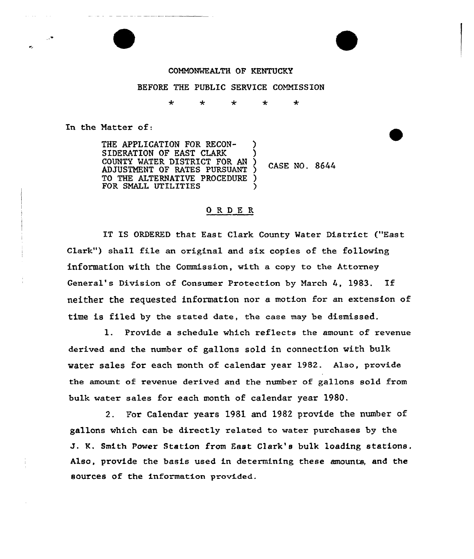## COMMONWEALTH OF KENTUCKY

## BEFORE THE PUBLIC SERVICE COMMISSION

 $\star$  $\star$ ÷  $\ddot{\textbf{r}}$  $\star$ 

In the Natter of:

THE APPLICATION FOR RECON-SIDERATION OF EAST CLARK (COUNTY WATER DISTRICT FOR AN ) COUNTY WATER DISTRICT FOR AN CASE NO. 8644 ADJUSTMENT OF RATES PURSUANT ) TO THE ALTERNATIVE PROCEDURE FOR SMALL UTILITIES

## ORDE <sup>R</sup>

IT IS ORDERED that East Clark County Watex District ("East Clark") shall file an original and six copies of the following information with the Commission, with a copy to the Attorney General's Division of Consumer Protection by March  $4$ , 1983. If neither the requested information nor a motion for an extension of time is filed by the stated date, the case may be dismissed.

1. Provide a schedule which reflects the amount of revenue derived and the number of gallons sold in connection with bulk water sales for each month of calendar year 1982. Also, provide the amount of revenue derived and the number of gallons sold from bulk water sales for each month of calendar year 1980.

2. For Calendar years 198l and l982 provide the number of gallons which can be directly related to water purchases by the J. K. Smith Power Station from Fast Clark'e bulk loading stations. Also, provide the basis used in determining these amounts, and the sources of the information provided.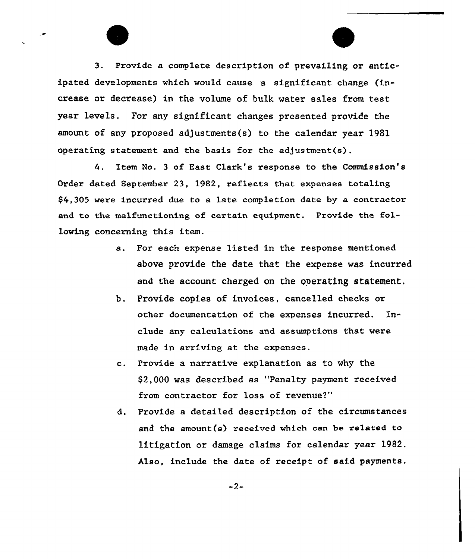3. Provide a complete description of prevailing or anticipated developments which would cause a significant change (increase or decrease) in the volume of bulk water sales from test year levels. For any significant changes presented provide the amount of any proposed adjustments(s) to the calendar year 1981 operating statement and the basis for the adjustment(s),

4. Item No. 3 of East Clark's response to the Commission's Order dated September 23, 1982, reflects that expenses totaling \$4,305 wexe incurred due to a late completion date by a contractor and to the malfunctioning of certain equipment. Provide the following concerning this item.

- a. For each expense listed in the response mentioned above provide the date that the expense was incurred and the account charged on the operating statement.
- b. Provide copies of invoices, cancelled checks or other documentation of the expenses incurred. Inelude any calculations and assumptions that were made in arriving at the expenses.
- c. Provide a narrative explanation as to why the  $$2,000$  was described as "Penalty payment received from contractor for loss of revenue?"
- d. Provide a detailed description of the circumstances and the amount(s) received which cen be related to litigation or damage claims for calendar year 1982. Also, include the date of receipt of said payments.

 $-2-$